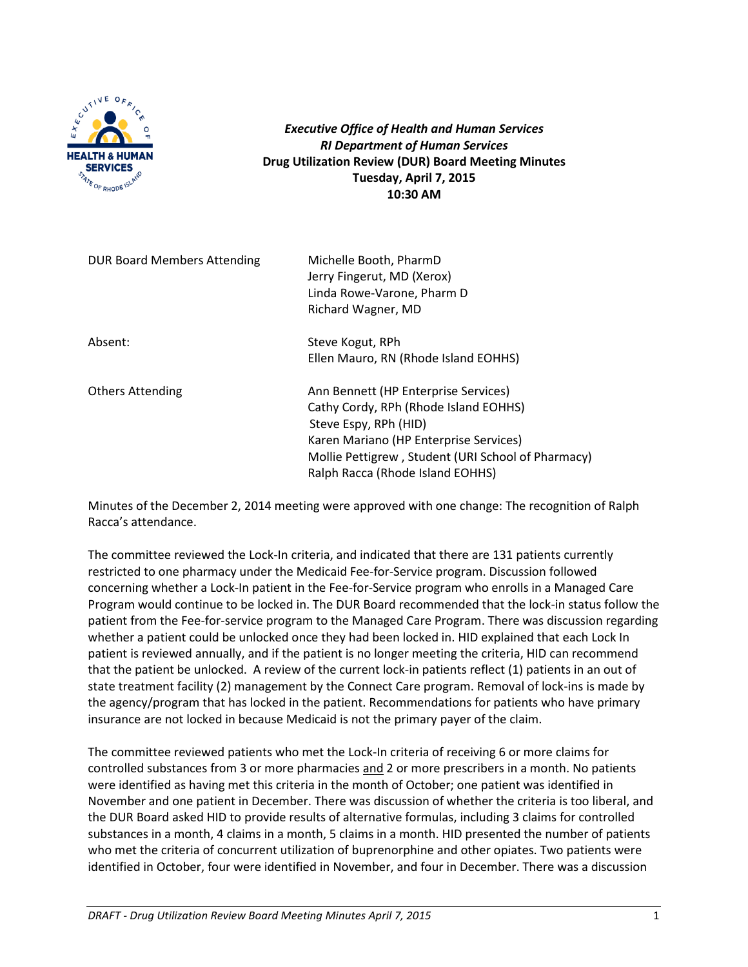

*Executive Office of Health and Human Services RI Department of Human Services* **Drug Utilization Review (DUR) Board Meeting Minutes Tuesday, April 7, 2015 10:30 AM**

| DUR Board Members Attending | Michelle Booth, PharmD<br>Jerry Fingerut, MD (Xerox)<br>Linda Rowe-Varone, Pharm D<br>Richard Wagner, MD                                                                                                                                   |
|-----------------------------|--------------------------------------------------------------------------------------------------------------------------------------------------------------------------------------------------------------------------------------------|
| Absent:                     | Steve Kogut, RPh<br>Ellen Mauro, RN (Rhode Island EOHHS)                                                                                                                                                                                   |
| <b>Others Attending</b>     | Ann Bennett (HP Enterprise Services)<br>Cathy Cordy, RPh (Rhode Island EOHHS)<br>Steve Espy, RPh (HID)<br>Karen Mariano (HP Enterprise Services)<br>Mollie Pettigrew, Student (URI School of Pharmacy)<br>Ralph Racca (Rhode Island EOHHS) |

Minutes of the December 2, 2014 meeting were approved with one change: The recognition of Ralph Racca's attendance.

The committee reviewed the Lock-In criteria, and indicated that there are 131 patients currently restricted to one pharmacy under the Medicaid Fee-for-Service program. Discussion followed concerning whether a Lock-In patient in the Fee-for-Service program who enrolls in a Managed Care Program would continue to be locked in. The DUR Board recommended that the lock-in status follow the patient from the Fee-for-service program to the Managed Care Program. There was discussion regarding whether a patient could be unlocked once they had been locked in. HID explained that each Lock In patient is reviewed annually, and if the patient is no longer meeting the criteria, HID can recommend that the patient be unlocked. A review of the current lock-in patients reflect (1) patients in an out of state treatment facility (2) management by the Connect Care program. Removal of lock-ins is made by the agency/program that has locked in the patient. Recommendations for patients who have primary insurance are not locked in because Medicaid is not the primary payer of the claim.

The committee reviewed patients who met the Lock-In criteria of receiving 6 or more claims for controlled substances from 3 or more pharmacies and 2 or more prescribers in a month. No patients were identified as having met this criteria in the month of October; one patient was identified in November and one patient in December. There was discussion of whether the criteria is too liberal, and the DUR Board asked HID to provide results of alternative formulas, including 3 claims for controlled substances in a month, 4 claims in a month, 5 claims in a month. HID presented the number of patients who met the criteria of concurrent utilization of buprenorphine and other opiates. Two patients were identified in October, four were identified in November, and four in December. There was a discussion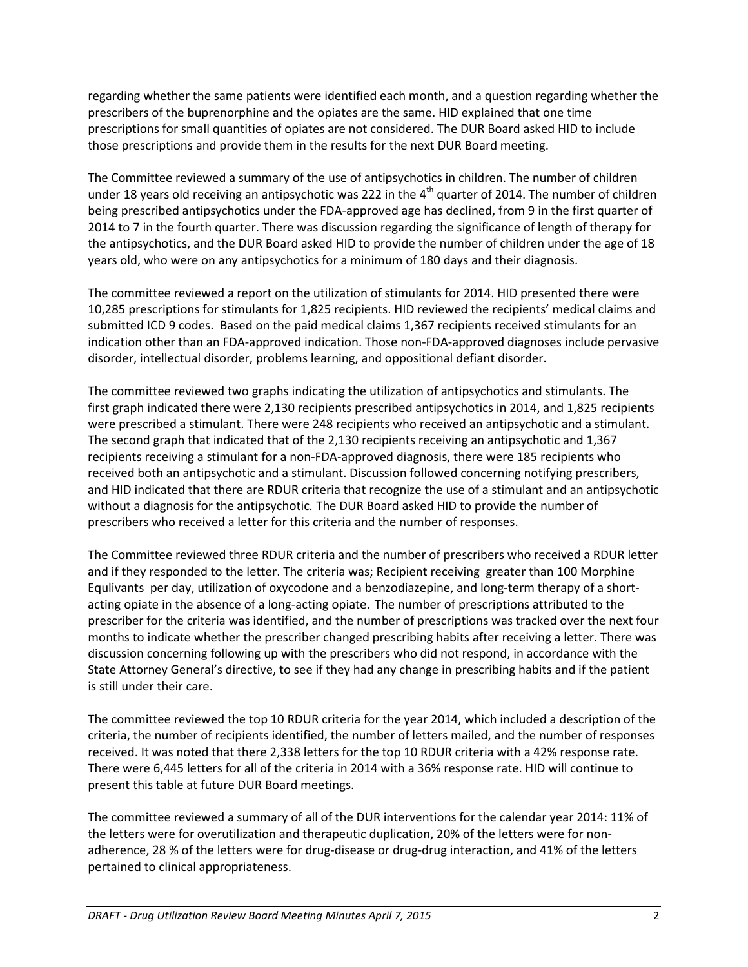regarding whether the same patients were identified each month, and a question regarding whether the prescribers of the buprenorphine and the opiates are the same. HID explained that one time prescriptions for small quantities of opiates are not considered. The DUR Board asked HID to include those prescriptions and provide them in the results for the next DUR Board meeting.

The Committee reviewed a summary of the use of antipsychotics in children. The number of children under 18 years old receiving an antipsychotic was 222 in the  $4<sup>th</sup>$  quarter of 2014. The number of children being prescribed antipsychotics under the FDA-approved age has declined, from 9 in the first quarter of 2014 to 7 in the fourth quarter. There was discussion regarding the significance of length of therapy for the antipsychotics, and the DUR Board asked HID to provide the number of children under the age of 18 years old, who were on any antipsychotics for a minimum of 180 days and their diagnosis.

The committee reviewed a report on the utilization of stimulants for 2014. HID presented there were 10,285 prescriptions for stimulants for 1,825 recipients. HID reviewed the recipients' medical claims and submitted ICD 9 codes. Based on the paid medical claims 1,367 recipients received stimulants for an indication other than an FDA-approved indication. Those non-FDA-approved diagnoses include pervasive disorder, intellectual disorder, problems learning, and oppositional defiant disorder.

The committee reviewed two graphs indicating the utilization of antipsychotics and stimulants. The first graph indicated there were 2,130 recipients prescribed antipsychotics in 2014, and 1,825 recipients were prescribed a stimulant. There were 248 recipients who received an antipsychotic and a stimulant. The second graph that indicated that of the 2,130 recipients receiving an antipsychotic and 1,367 recipients receiving a stimulant for a non-FDA-approved diagnosis, there were 185 recipients who received both an antipsychotic and a stimulant. Discussion followed concerning notifying prescribers, and HID indicated that there are RDUR criteria that recognize the use of a stimulant and an antipsychotic without a diagnosis for the antipsychotic*.* The DUR Board asked HID to provide the number of prescribers who received a letter for this criteria and the number of responses.

The Committee reviewed three RDUR criteria and the number of prescribers who received a RDUR letter and if they responded to the letter. The criteria was; Recipient receiving greater than 100 Morphine Equlivants per day, utilization of oxycodone and a benzodiazepine, and long-term therapy of a shortacting opiate in the absence of a long-acting opiate. The number of prescriptions attributed to the prescriber for the criteria was identified, and the number of prescriptions was tracked over the next four months to indicate whether the prescriber changed prescribing habits after receiving a letter. There was discussion concerning following up with the prescribers who did not respond, in accordance with the State Attorney General's directive, to see if they had any change in prescribing habits and if the patient is still under their care.

The committee reviewed the top 10 RDUR criteria for the year 2014, which included a description of the criteria, the number of recipients identified, the number of letters mailed, and the number of responses received. It was noted that there 2,338 letters for the top 10 RDUR criteria with a 42% response rate. There were 6,445 letters for all of the criteria in 2014 with a 36% response rate. HID will continue to present this table at future DUR Board meetings.

The committee reviewed a summary of all of the DUR interventions for the calendar year 2014: 11% of the letters were for overutilization and therapeutic duplication, 20% of the letters were for nonadherence, 28 % of the letters were for drug-disease or drug-drug interaction, and 41% of the letters pertained to clinical appropriateness.